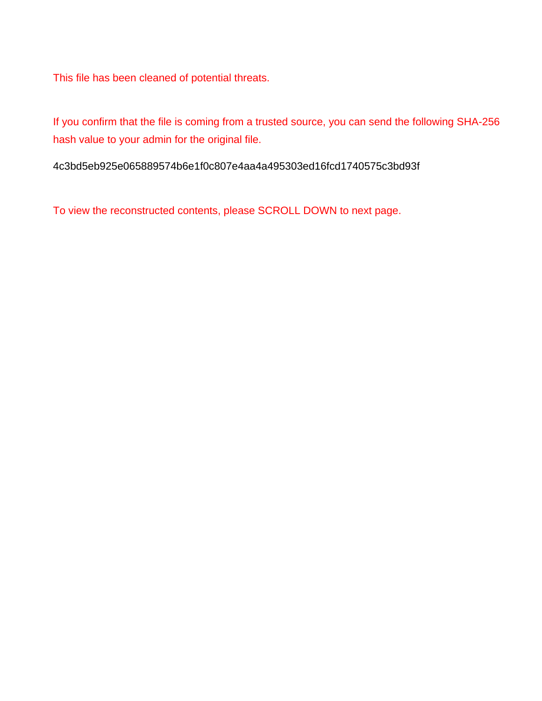This file has been cleaned of potential threats.

If you confirm that the file is coming from a trusted source, you can send the following SHA-256 hash value to your admin for the original file.

4c3bd5eb925e065889574b6e1f0c807e4aa4a495303ed16fcd1740575c3bd93f

To view the reconstructed contents, please SCROLL DOWN to next page.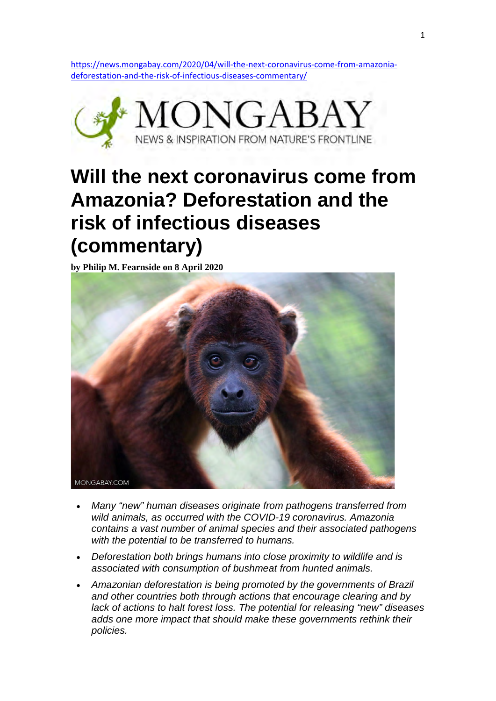https://news.mongabay.com/2020/04/will-the-next-coronavirus-come-from-amazoniadeforestation-and-the-risk-of-infectious-diseases-commentary/



## **Will the next coronavirus come from Amazonia? Deforestation and the risk of infectious diseases (commentary)**

**by Philip M. Fearnside on 8 April 2020** 



- *Many "new" human diseases originate from pathogens transferred from wild animals, as occurred with the COVID-19 coronavirus. Amazonia contains a vast number of animal species and their associated pathogens with the potential to be transferred to humans.*
- *Deforestation both brings humans into close proximity to wildlife and is associated with consumption of bushmeat from hunted animals.*
- *Amazonian deforestation is being promoted by the governments of Brazil and other countries both through actions that encourage clearing and by lack of actions to halt forest loss. The potential for releasing "new" diseases adds one more impact that should make these governments rethink their policies.*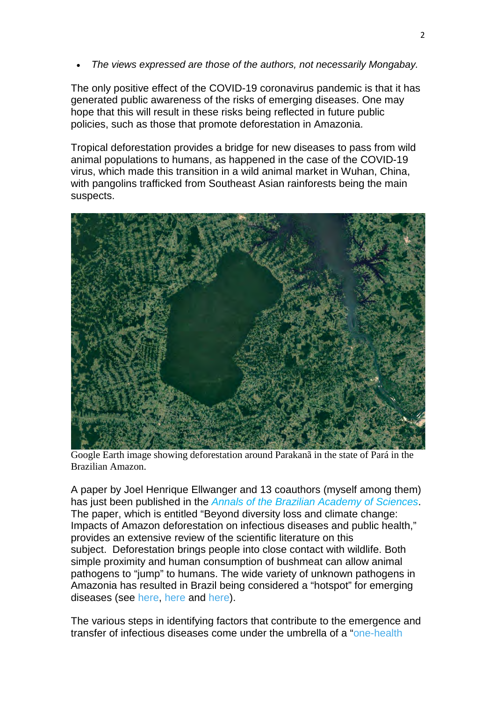• *The views expressed are those of the authors, not necessarily Mongabay.*

The only positive effect of the COVID-19 coronavirus pandemic is that it has generated public awareness of the risks of emerging diseases. One may hope that this will result in these risks being reflected in future public policies, such as those that promote deforestation in Amazonia.

Tropical deforestation provides a bridge for new diseases to pass from wild animal populations to humans, as happened in the case of the COVID-19 virus, which made this transition in a wild animal market in Wuhan, China, with pangolins trafficked from Southeast Asian rainforests being the main suspects.



Google Earth image showing deforestation around Parakanã in the state of Pará in the Brazilian Amazon.

A paper by Joel Henrique Ellwanger and 13 coauthors (myself among them) has just been published in the *Annals of the Brazilian Academy of Sciences*. The paper, which is entitled "Beyond diversity loss and climate change: Impacts of Amazon deforestation on infectious diseases and public health," provides an extensive review of the scientific literature on this subject. Deforestation brings people into close contact with wildlife. Both simple proximity and human consumption of bushmeat can allow animal pathogens to "jump" to humans. The wide variety of unknown pathogens in Amazonia has resulted in Brazil being considered a "hotspot" for emerging diseases (see here, here and here).

The various steps in identifying factors that contribute to the emergence and transfer of infectious diseases come under the umbrella of a "one-health